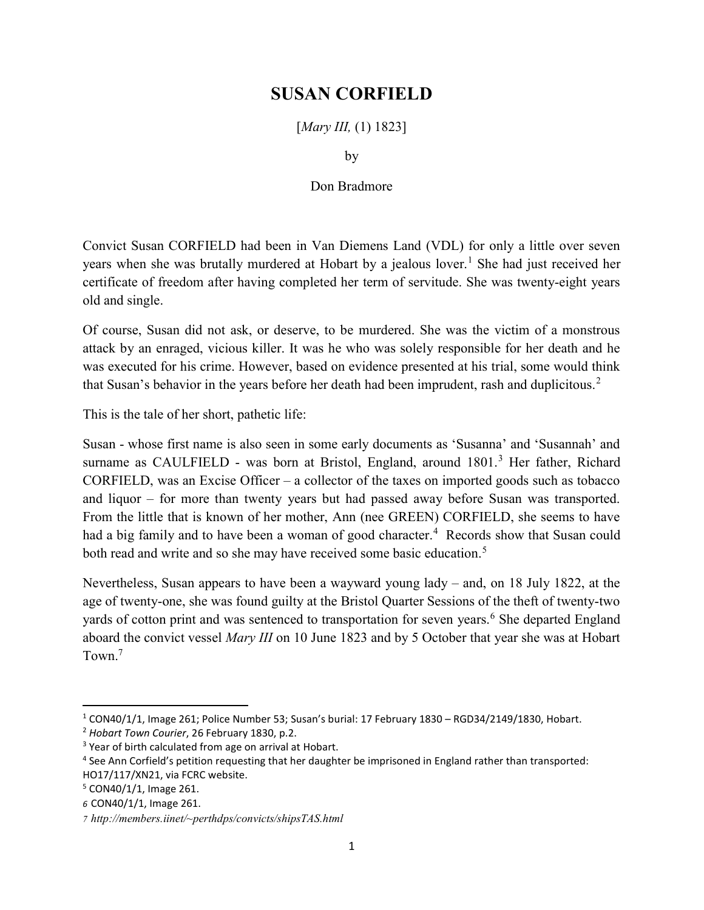## SUSAN CORFIELD

[*Mary III*, (1) 1823]

by

## Don Bradmore

Convict Susan CORFIELD had been in Van Diemens Land (VDL) for only a little over seven years when she was brutally murdered at Hobart by a jealous lover.<sup>1</sup> She had just received her certificate of freedom after having completed her term of servitude. She was twenty-eight years old and single.

Of course, Susan did not ask, or deserve, to be murdered. She was the victim of a monstrous attack by an enraged, vicious killer. It was he who was solely responsible for her death and he was executed for his crime. However, based on evidence presented at his trial, some would think that Susan's behavior in the years before her death had been imprudent, rash and duplicitous.<sup>2</sup>

This is the tale of her short, pathetic life:

Susan - whose first name is also seen in some early documents as 'Susanna' and 'Susannah' and surname as CAULFIELD - was born at Bristol, England, around 1801.<sup>3</sup> Her father, Richard CORFIELD, was an Excise Officer – a collector of the taxes on imported goods such as tobacco and liquor – for more than twenty years but had passed away before Susan was transported. From the little that is known of her mother, Ann (nee GREEN) CORFIELD, she seems to have had a big family and to have been a woman of good character.<sup>4</sup> Records show that Susan could both read and write and so she may have received some basic education.<sup>5</sup>

Nevertheless, Susan appears to have been a wayward young lady – and, on 18 July 1822, at the age of twenty-one, she was found guilty at the Bristol Quarter Sessions of the theft of twenty-two yards of cotton print and was sentenced to transportation for seven years.<sup>6</sup> She departed England aboard the convict vessel Mary III on 10 June 1823 and by 5 October that year she was at Hobart Town.<sup>7</sup>

 $\overline{a}$ 

<sup>1</sup> CON40/1/1, Image 261; Police Number 53; Susan's burial: 17 February 1830 – RGD34/2149/1830, Hobart.

<sup>&</sup>lt;sup>2</sup> Hobart Town Courier, 26 February 1830, p.2.

<sup>&</sup>lt;sup>3</sup> Year of birth calculated from age on arrival at Hobart.

<sup>4</sup> See Ann Corfield's petition requesting that her daughter be imprisoned in England rather than transported: HO17/117/XN21, via FCRC website.

<sup>5</sup> CON40/1/1, Image 261.

<sup>6</sup> CON40/1/1, Image 261.

<sup>7</sup> http://members.iinet/~perthdps/convicts/shipsTAS.html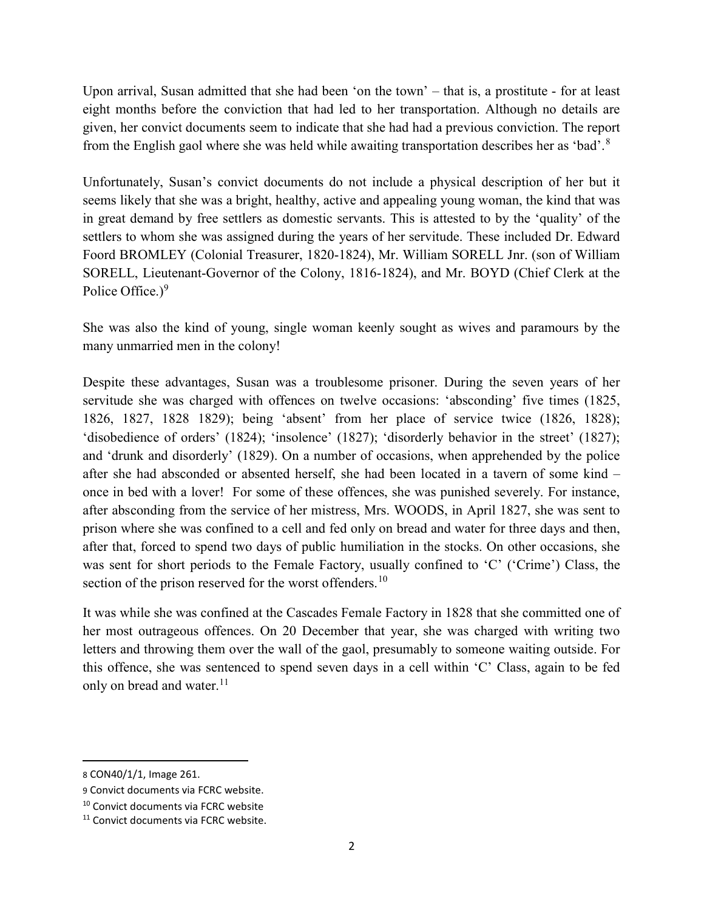Upon arrival, Susan admitted that she had been 'on the town' – that is, a prostitute - for at least eight months before the conviction that had led to her transportation. Although no details are given, her convict documents seem to indicate that she had had a previous conviction. The report from the English gaol where she was held while awaiting transportation describes her as 'bad'.<sup>8</sup>

Unfortunately, Susan's convict documents do not include a physical description of her but it seems likely that she was a bright, healthy, active and appealing young woman, the kind that was in great demand by free settlers as domestic servants. This is attested to by the 'quality' of the settlers to whom she was assigned during the years of her servitude. These included Dr. Edward Foord BROMLEY (Colonial Treasurer, 1820-1824), Mr. William SORELL Jnr. (son of William SORELL, Lieutenant-Governor of the Colony, 1816-1824), and Mr. BOYD (Chief Clerk at the Police Office.)<sup>9</sup>

She was also the kind of young, single woman keenly sought as wives and paramours by the many unmarried men in the colony!

Despite these advantages, Susan was a troublesome prisoner. During the seven years of her servitude she was charged with offences on twelve occasions: 'absconding' five times (1825, 1826, 1827, 1828 1829); being 'absent' from her place of service twice (1826, 1828); 'disobedience of orders' (1824); 'insolence' (1827); 'disorderly behavior in the street' (1827); and 'drunk and disorderly' (1829). On a number of occasions, when apprehended by the police after she had absconded or absented herself, she had been located in a tavern of some kind – once in bed with a lover! For some of these offences, she was punished severely. For instance, after absconding from the service of her mistress, Mrs. WOODS, in April 1827, she was sent to prison where she was confined to a cell and fed only on bread and water for three days and then, after that, forced to spend two days of public humiliation in the stocks. On other occasions, she was sent for short periods to the Female Factory, usually confined to 'C' ('Crime') Class, the section of the prison reserved for the worst offenders.<sup>10</sup>

It was while she was confined at the Cascades Female Factory in 1828 that she committed one of her most outrageous offences. On 20 December that year, she was charged with writing two letters and throwing them over the wall of the gaol, presumably to someone waiting outside. For this offence, she was sentenced to spend seven days in a cell within 'C' Class, again to be fed only on bread and water.<sup>11</sup>

 $\overline{a}$ 

<sup>8</sup> CON40/1/1, Image 261.

<sup>9</sup> Convict documents via FCRC website.

<sup>&</sup>lt;sup>10</sup> Convict documents via FCRC website

<sup>&</sup>lt;sup>11</sup> Convict documents via FCRC website.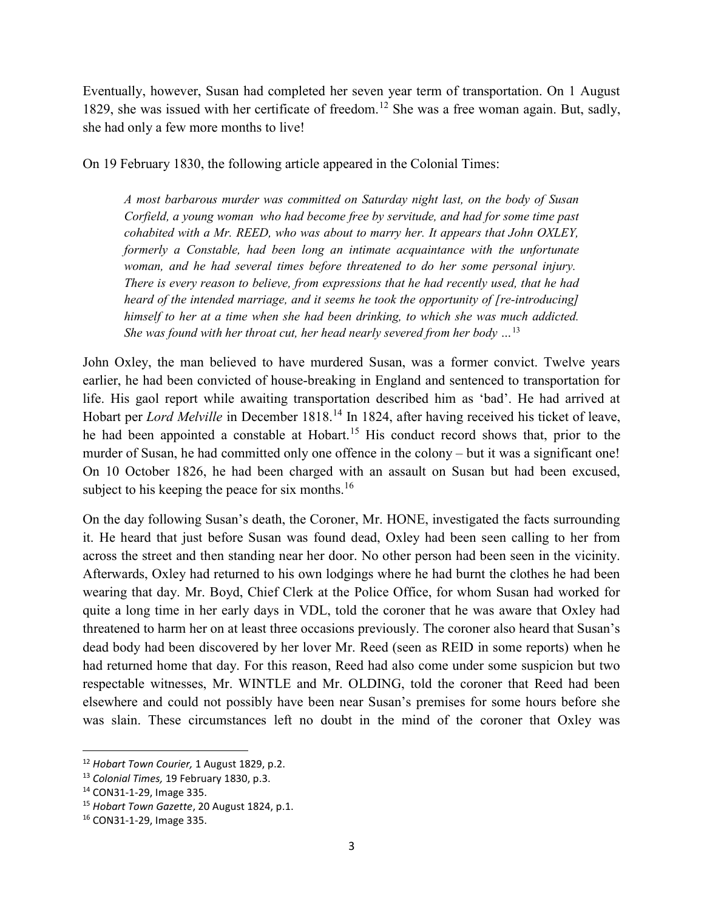Eventually, however, Susan had completed her seven year term of transportation. On 1 August 1829, she was issued with her certificate of freedom.<sup>12</sup> She was a free woman again. But, sadly, she had only a few more months to live!

On 19 February 1830, the following article appeared in the Colonial Times:

A most barbarous murder was committed on Saturday night last, on the body of Susan Corfield, a young woman who had become free by servitude, and had for some time past cohabited with a Mr. REED, who was about to marry her. It appears that John OXLEY, formerly a Constable, had been long an intimate acquaintance with the unfortunate woman, and he had several times before threatened to do her some personal injury. There is every reason to believe, from expressions that he had recently used, that he had heard of the intended marriage, and it seems he took the opportunity of [re-introducing] himself to her at a time when she had been drinking, to which she was much addicted. She was found with her throat cut, her head nearly severed from her body  $\ldots$ <sup>13</sup>

John Oxley, the man believed to have murdered Susan, was a former convict. Twelve years earlier, he had been convicted of house-breaking in England and sentenced to transportation for life. His gaol report while awaiting transportation described him as 'bad'. He had arrived at Hobart per Lord Melville in December 1818.<sup>14</sup> In 1824, after having received his ticket of leave, he had been appointed a constable at Hobart.<sup>15</sup> His conduct record shows that, prior to the murder of Susan, he had committed only one offence in the colony – but it was a significant one! On 10 October 1826, he had been charged with an assault on Susan but had been excused, subject to his keeping the peace for six months. $16$ 

On the day following Susan's death, the Coroner, Mr. HONE, investigated the facts surrounding it. He heard that just before Susan was found dead, Oxley had been seen calling to her from across the street and then standing near her door. No other person had been seen in the vicinity. Afterwards, Oxley had returned to his own lodgings where he had burnt the clothes he had been wearing that day. Mr. Boyd, Chief Clerk at the Police Office, for whom Susan had worked for quite a long time in her early days in VDL, told the coroner that he was aware that Oxley had threatened to harm her on at least three occasions previously. The coroner also heard that Susan's dead body had been discovered by her lover Mr. Reed (seen as REID in some reports) when he had returned home that day. For this reason, Reed had also come under some suspicion but two respectable witnesses, Mr. WINTLE and Mr. OLDING, told the coroner that Reed had been elsewhere and could not possibly have been near Susan's premises for some hours before she was slain. These circumstances left no doubt in the mind of the coroner that Oxley was

 $\overline{a}$ 

<sup>&</sup>lt;sup>12</sup> Hobart Town Courier, 1 August 1829, p.2.

<sup>13</sup> Colonial Times, 19 February 1830, p.3.

<sup>14</sup> CON31-1-29, Image 335.

<sup>&</sup>lt;sup>15</sup> Hobart Town Gazette, 20 August 1824, p.1.

<sup>16</sup> CON31-1-29, Image 335.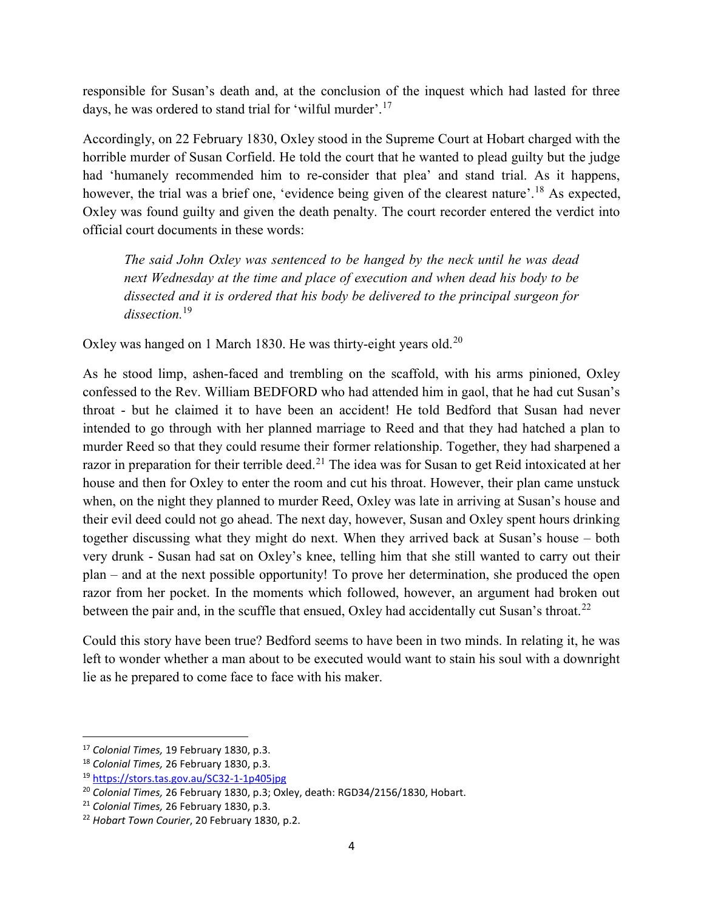responsible for Susan's death and, at the conclusion of the inquest which had lasted for three days, he was ordered to stand trial for 'wilful murder'.<sup>17</sup>

Accordingly, on 22 February 1830, Oxley stood in the Supreme Court at Hobart charged with the horrible murder of Susan Corfield. He told the court that he wanted to plead guilty but the judge had 'humanely recommended him to re-consider that plea' and stand trial. As it happens, however, the trial was a brief one, 'evidence being given of the clearest nature'.<sup>18</sup> As expected, Oxley was found guilty and given the death penalty. The court recorder entered the verdict into official court documents in these words:

The said John Oxley was sentenced to be hanged by the neck until he was dead next Wednesday at the time and place of execution and when dead his body to be dissected and it is ordered that his body be delivered to the principal surgeon for dissection.<sup>19</sup>

Oxley was hanged on 1 March 1830. He was thirty-eight years old.<sup>20</sup>

As he stood limp, ashen-faced and trembling on the scaffold, with his arms pinioned, Oxley confessed to the Rev. William BEDFORD who had attended him in gaol, that he had cut Susan's throat - but he claimed it to have been an accident! He told Bedford that Susan had never intended to go through with her planned marriage to Reed and that they had hatched a plan to murder Reed so that they could resume their former relationship. Together, they had sharpened a razor in preparation for their terrible deed.<sup>21</sup> The idea was for Susan to get Reid intoxicated at her house and then for Oxley to enter the room and cut his throat. However, their plan came unstuck when, on the night they planned to murder Reed, Oxley was late in arriving at Susan's house and their evil deed could not go ahead. The next day, however, Susan and Oxley spent hours drinking together discussing what they might do next. When they arrived back at Susan's house – both very drunk - Susan had sat on Oxley's knee, telling him that she still wanted to carry out their plan – and at the next possible opportunity! To prove her determination, she produced the open razor from her pocket. In the moments which followed, however, an argument had broken out between the pair and, in the scuffle that ensued, Oxley had accidentally cut Susan's throat.<sup>22</sup>

Could this story have been true? Bedford seems to have been in two minds. In relating it, he was left to wonder whether a man about to be executed would want to stain his soul with a downright lie as he prepared to come face to face with his maker.

<sup>&</sup>lt;sup>17</sup> Colonial Times, 19 February 1830, p.3.

<sup>&</sup>lt;sup>18</sup> Colonial Times, 26 February 1830, p.3.

<sup>19</sup> https://stors.tas.gov.au/SC32-1-1p405jpg

 $20$  Colonial Times, 26 February 1830, p.3; Oxley, death: RGD34/2156/1830, Hobart.

<sup>&</sup>lt;sup>21</sup> Colonial Times, 26 February 1830, p.3.

<sup>&</sup>lt;sup>22</sup> Hobart Town Courier, 20 February 1830, p.2.